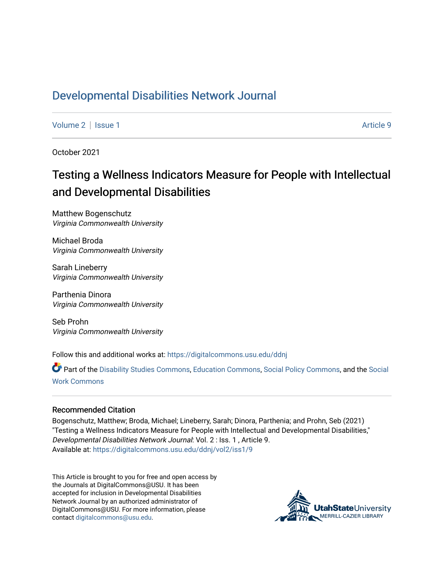# [Developmental Disabilities Network Journal](https://digitalcommons.usu.edu/ddnj)

[Volume 2](https://digitalcommons.usu.edu/ddnj/vol2) | [Issue 1](https://digitalcommons.usu.edu/ddnj/vol2/iss1) Article 9

October 2021

# Testing a Wellness Indicators Measure for People with Intellectual and Developmental Disabilities

Matthew Bogenschutz Virginia Commonwealth University

Michael Broda Virginia Commonwealth University

Sarah Lineberry Virginia Commonwealth University

Parthenia Dinora Virginia Commonwealth University

Seb Prohn Virginia Commonwealth University

Follow this and additional works at: [https://digitalcommons.usu.edu/ddnj](https://digitalcommons.usu.edu/ddnj?utm_source=digitalcommons.usu.edu%2Fddnj%2Fvol2%2Fiss1%2F9&utm_medium=PDF&utm_campaign=PDFCoverPages) 

Part of the [Disability Studies Commons](http://network.bepress.com/hgg/discipline/1417?utm_source=digitalcommons.usu.edu%2Fddnj%2Fvol2%2Fiss1%2F9&utm_medium=PDF&utm_campaign=PDFCoverPages), [Education Commons](http://network.bepress.com/hgg/discipline/784?utm_source=digitalcommons.usu.edu%2Fddnj%2Fvol2%2Fiss1%2F9&utm_medium=PDF&utm_campaign=PDFCoverPages), [Social Policy Commons,](http://network.bepress.com/hgg/discipline/1030?utm_source=digitalcommons.usu.edu%2Fddnj%2Fvol2%2Fiss1%2F9&utm_medium=PDF&utm_campaign=PDFCoverPages) and the [Social](http://network.bepress.com/hgg/discipline/713?utm_source=digitalcommons.usu.edu%2Fddnj%2Fvol2%2Fiss1%2F9&utm_medium=PDF&utm_campaign=PDFCoverPages)  [Work Commons](http://network.bepress.com/hgg/discipline/713?utm_source=digitalcommons.usu.edu%2Fddnj%2Fvol2%2Fiss1%2F9&utm_medium=PDF&utm_campaign=PDFCoverPages)

#### Recommended Citation

Bogenschutz, Matthew; Broda, Michael; Lineberry, Sarah; Dinora, Parthenia; and Prohn, Seb (2021) "Testing a Wellness Indicators Measure for People with Intellectual and Developmental Disabilities," Developmental Disabilities Network Journal: Vol. 2 : Iss. 1 , Article 9. Available at: [https://digitalcommons.usu.edu/ddnj/vol2/iss1/9](https://digitalcommons.usu.edu/ddnj/vol2/iss1/9?utm_source=digitalcommons.usu.edu%2Fddnj%2Fvol2%2Fiss1%2F9&utm_medium=PDF&utm_campaign=PDFCoverPages) 

This Article is brought to you for free and open access by the Journals at DigitalCommons@USU. It has been accepted for inclusion in Developmental Disabilities Network Journal by an authorized administrator of DigitalCommons@USU. For more information, please contact [digitalcommons@usu.edu](mailto:digitalcommons@usu.edu).

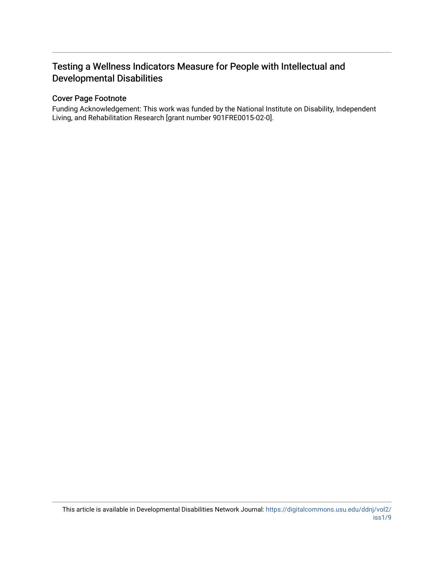# Testing a Wellness Indicators Measure for People with Intellectual and Developmental Disabilities

# Cover Page Footnote

Funding Acknowledgement: This work was funded by the National Institute on Disability, Independent Living, and Rehabilitation Research [grant number 901FRE0015-02-0].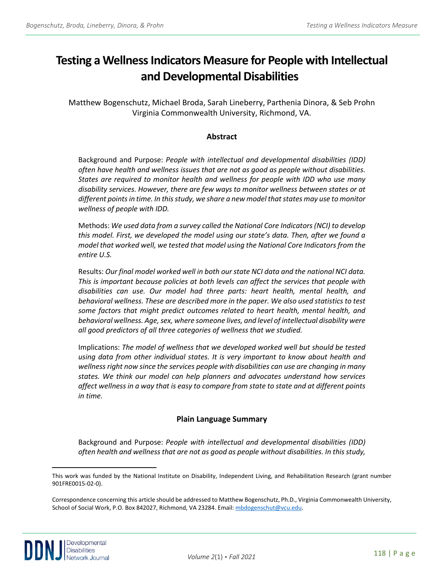# **Testing a Wellness Indicators Measure for People with Intellectual and Developmental Di[sa](#page-2-0)bilities**

Matthew Bogenschutz, Michael Broda, Sarah Lineberry, Parthenia Dinora, & Seb Prohn Virginia Commonwealth University, Richmond, VA.

# **Abstract**

Background and Purpose: *People with intellectual and developmental disabilities (IDD) often have health and wellness issues that are not as good as people without disabilities. States are required to monitor health and wellness for people with IDD who use many disability services. However, there are few ways to monitor wellness between states or at different points in time. In this study, we share a new model that states may use to monitor wellness of people with IDD.*

Methods: *We used data from a survey called the National Core Indicators (NCI) to develop this model. First, we developed the model using our state's data. Then, after we found a model that worked well, we tested that model using the National Core Indicators from the entire U.S.*

Results: *Our final model worked well in both our state NCI data and the national NCI data. This is important because policies at both levels can affect the services that people with disabilities can use. Our model had three parts: heart health, mental health, and behavioral wellness. These are described more in the paper. We also used statistics to test some factors that might predict outcomes related to heart health, mental health, and behavioral wellness. Age, sex, where someone lives, and level of intellectual disability were all good predictors of all three categories of wellness that we studied.*

Implications: *The model of wellness that we developed worked well but should be tested using data from other individual states. It is very important to know about health and wellness right now since the services people with disabilities can use are changing in many states. We think our model can help planners and advocates understand how services affect wellness in a way that is easy to compare from state to state and at different points in time.*

# **Plain Language Summary**

Background and Purpose: *People with intellectual and developmental disabilities (IDD) often health and wellness that are not as good as people without disabilities. In this study,* 

<span id="page-2-0"></span>This work was funded by the National Institute on Disability, Independent Living, and Rehabilitation Research (grant number 901FRE0015-02-0).

Correspondence concerning this article should be addressed to Matthew Bogenschutz, Ph.D., Virginia Commonwealth University, School of Social Work, P.O. Box 842027, Richmond, VA 23284. Email[: mbdogenschut@vcu.edu.](mailto:mbdogenschut@vcu.edu)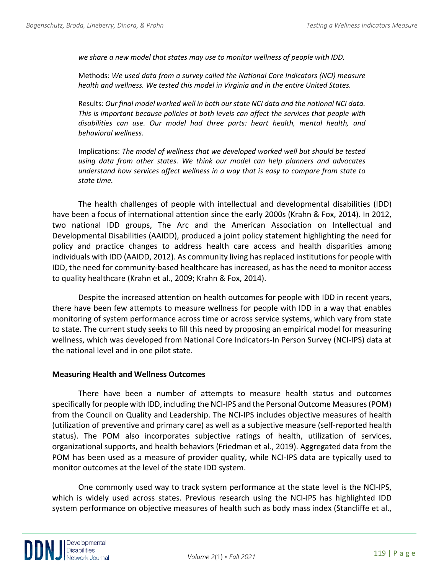*we share a new model that states may use to monitor wellness of people with IDD.*

Methods: *We used data from a survey called the National Core Indicators (NCI) measure health and wellness. We tested this model in Virginia and in the entire United States.* 

Results: *Our final model worked well in both our state NCI data and the national NCI data. This is important because policies at both levels can affect the services that people with disabilities can use. Our model had three parts: heart health, mental health, and behavioral wellness.* 

Implications: *The model of wellness that we developed worked well but should be tested using data from other states. We think our model can help planners and advocates understand how services affect wellness in a way that is easy to compare from state to state time.*

The health challenges of people with intellectual and developmental disabilities (IDD) have been a focus of international attention since the early 2000s (Krahn & Fox, 2014). In 2012, two national IDD groups, The Arc and the American Association on Intellectual and Developmental Disabilities (AAIDD), produced a joint policy statement highlighting the need for policy and practice changes to address health care access and health disparities among individuals with IDD (AAIDD, 2012). As community living has replaced institutions for people with IDD, the need for community-based healthcare has increased, as has the need to monitor access to quality healthcare (Krahn et al., 2009; Krahn & Fox, 2014).

Despite the increased attention on health outcomes for people with IDD in recent years, there have been few attempts to measure wellness for people with IDD in a way that enables monitoring of system performance across time or across service systems, which vary from state to state. The current study seeks to fill this need by proposing an empirical model for measuring wellness, which was developed from National Core Indicators-In Person Survey (NCI-IPS) data at the national level and in one pilot state.

#### **Measuring Health and Wellness Outcomes**

There have been a number of attempts to measure health status and outcomes specifically for people with IDD, including the NCI-IPS and the Personal Outcome Measures (POM) from the Council on Quality and Leadership. The NCI-IPS includes objective measures of health (utilization of preventive and primary care) as well as a subjective measure (self-reported health status). The POM also incorporates subjective ratings of health, utilization of services, organizational supports, and health behaviors (Friedman et al., 2019). Aggregated data from the POM has been used as a measure of provider quality, while NCI-IPS data are typically used to monitor outcomes at the level of the state IDD system.

One commonly used way to track system performance at the state level is the NCI-IPS, which is widely used across states. Previous research using the NCI-IPS has highlighted IDD system performance on objective measures of health such as body mass index (Stancliffe et al.,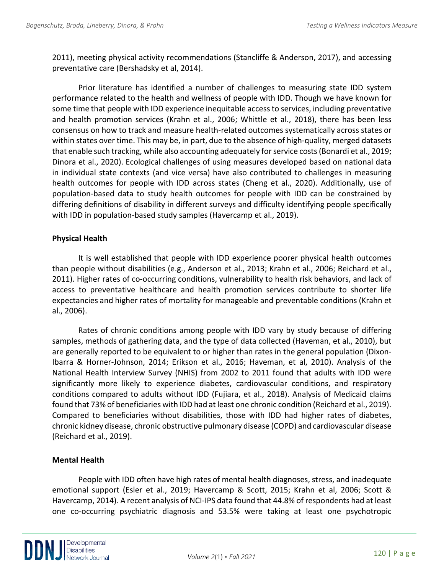2011), meeting physical activity recommendations (Stancliffe & Anderson, 2017), and accessing preventative care (Bershadsky et al, 2014).

Prior literature has identified a number of challenges to measuring state IDD system performance related to the health and wellness of people with IDD. Though we have known for some time that people with IDD experience inequitable access to services, including preventative and health promotion services (Krahn et al., 2006; Whittle et al., 2018), there has been less consensus on how to track and measure health-related outcomes systematically across states or within states over time. This may be, in part, due to the absence of high-quality, merged datasets that enable such tracking, while also accounting adequately for service costs (Bonardi et al., 2019; Dinora et al., 2020). Ecological challenges of using measures developed based on national data in individual state contexts (and vice versa) have also contributed to challenges in measuring health outcomes for people with IDD across states (Cheng et al., 2020). Additionally, use of population-based data to study health outcomes for people with IDD can be constrained by differing definitions of disability in different surveys and difficulty identifying people specifically with IDD in population-based study samples (Havercamp et al., 2019).

# **Physical Health**

It is well established that people with IDD experience poorer physical health outcomes than people without disabilities (e.g., Anderson et al., 2013; Krahn et al., 2006; Reichard et al., 2011). Higher rates of co-occurring conditions, vulnerability to health risk behaviors, and lack of access to preventative healthcare and health promotion services contribute to shorter life expectancies and higher rates of mortality for manageable and preventable conditions (Krahn et al., 2006).

Rates of chronic conditions among people with IDD vary by study because of differing samples, methods of gathering data, and the type of data collected (Haveman, et al., 2010), but are generally reported to be equivalent to or higher than rates in the general population (Dixon-Ibarra & Horner-Johnson, 2014; Erikson et al., 2016; Haveman, et al, 2010). Analysis of the National Health Interview Survey (NHIS) from 2002 to 2011 found that adults with IDD were significantly more likely to experience diabetes, cardiovascular conditions, and respiratory conditions compared to adults without IDD (Fujiara, et al., 2018). Analysis of Medicaid claims found that 73% of beneficiaries with IDD had at least one chronic condition (Reichard et al., 2019). Compared to beneficiaries without disabilities, those with IDD had higher rates of diabetes, chronic kidney disease, chronic obstructive pulmonary disease (COPD) and cardiovascular disease (Reichard et al., 2019).

# **Mental Health**

People with IDD often have high rates of mental health diagnoses, stress, and inadequate emotional support (Esler et al., 2019; Havercamp & Scott, 2015; Krahn et al, 2006; Scott & Havercamp, 2014). A recent analysis of NCI-IPS data found that 44.8% of respondents had at least one co-occurring psychiatric diagnosis and 53.5% were taking at least one psychotropic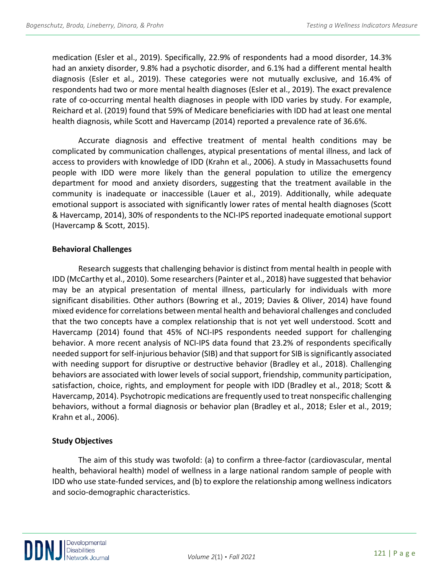medication (Esler et al., 2019). Specifically, 22.9% of respondents had a mood disorder, 14.3% had an anxiety disorder, 9.8% had a psychotic disorder, and 6.1% had a different mental health diagnosis (Esler et al., 2019). These categories were not mutually exclusive, and 16.4% of respondents had two or more mental health diagnoses (Esler et al., 2019). The exact prevalence rate of co-occurring mental health diagnoses in people with IDD varies by study. For example, Reichard et al. (2019) found that 59% of Medicare beneficiaries with IDD had at least one mental health diagnosis, while Scott and Havercamp (2014) reported a prevalence rate of 36.6%.

Accurate diagnosis and effective treatment of mental health conditions may be complicated by communication challenges, atypical presentations of mental illness, and lack of access to providers with knowledge of IDD (Krahn et al., 2006). A study in Massachusetts found people with IDD were more likely than the general population to utilize the emergency department for mood and anxiety disorders, suggesting that the treatment available in the community is inadequate or inaccessible (Lauer et al., 2019). Additionally, while adequate emotional support is associated with significantly lower rates of mental health diagnoses (Scott & Havercamp, 2014), 30% of respondents to the NCI-IPS reported inadequate emotional support (Havercamp & Scott, 2015).

# **Behavioral Challenges**

Research suggests that challenging behavior is distinct from mental health in people with IDD (McCarthy et al., 2010). Some researchers (Painter et al., 2018) have suggested that behavior may be an atypical presentation of mental illness, particularly for individuals with more significant disabilities. Other authors (Bowring et al., 2019; Davies & Oliver, 2014) have found mixed evidence for correlations between mental health and behavioral challenges and concluded that the two concepts have a complex relationship that is not yet well understood. Scott and Havercamp (2014) found that 45% of NCI-IPS respondents needed support for challenging behavior. A more recent analysis of NCI-IPS data found that 23.2% of respondents specifically needed support for self-injurious behavior (SIB) and that support for SIB is significantly associated with needing support for disruptive or destructive behavior (Bradley et al., 2018). Challenging behaviors are associated with lower levels of social support, friendship, community participation, satisfaction, choice, rights, and employment for people with IDD (Bradley et al., 2018; Scott & Havercamp, 2014). Psychotropic medications are frequently used to treat nonspecific challenging behaviors, without a formal diagnosis or behavior plan (Bradley et al., 2018; Esler et al., 2019; Krahn et al., 2006).

# **Study Objectives**

The aim of this study was twofold: (a) to confirm a three-factor (cardiovascular, mental health, behavioral health) model of wellness in a large national random sample of people with IDD who use state-funded services, and (b) to explore the relationship among wellness indicators and socio-demographic characteristics.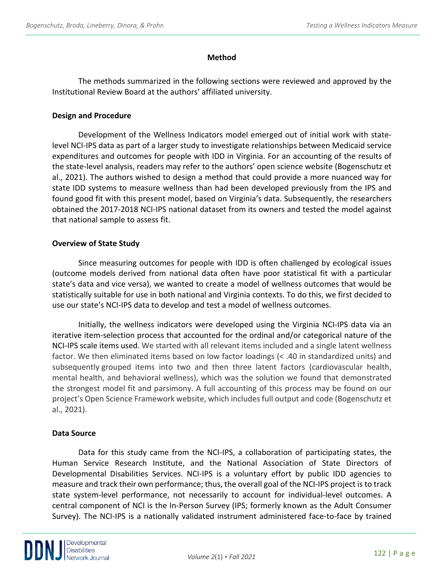# **Method**

The methods summarized in the following sections were reviewed and approved by the Institutional Review Board at the authors' affiliated university.

# **Design and Procedure**

Development of the Wellness Indicators model emerged out of initial work with statelevel NCI-IPS data as part of a larger study to investigate relationships between Medicaid service expenditures and outcomes for people with IDD in Virginia. For an accounting of the results of the state-level analysis, readers may refer to the authors' open science website (Bogenschutz et al., 2021). The authors wished to design a method that could provide a more nuanced way for state IDD systems to measure wellness than had been developed previously from the IPS and found good fit with this present model, based on Virginia's data. Subsequently, the researchers obtained the 2017-2018 NCI-IPS national dataset from its owners and tested the model against that national sample to assess fit.

# **Overview of State Study**

Since measuring outcomes for people with IDD is often challenged by ecological issues (outcome models derived from national data often have poor statistical fit with a particular state's data and vice versa), we wanted to create a model of wellness outcomes that would be statistically suitable for use in both national and Virginia contexts. To do this, we first decided to use our state's NCI-IPS data to develop and test a model of wellness outcomes.

Initially, the wellness indicators were developed using the Virginia NCI-IPS data via an iterative item-selection process that accounted for the ordinal and/or categorical nature of the NCI-IPS scale items used. We started with all relevant items included and a single latent wellness factor. We then eliminated items based on low factor loadings (< .40 in standardized units) and subsequently grouped items into two and then three latent factors (cardiovascular health, mental health, and behavioral wellness), which was the solution we found that demonstrated the strongest model fit and parsimony. A full accounting of this process may be found on our project's Open Science Framework website, which includes full output and code (Bogenschutz et al., 2021).

# **Data Source**

Data for this study came from the NCI-IPS, a collaboration of participating states, the Human Service Research Institute, and the National Association of State Directors of Developmental Disabilities Services. NCI-IPS is a voluntary effort by public IDD agencies to measure and track their own performance; thus, the overall goal of the NCI-IPS project is to track state system-level performance, not necessarily to account for individual-level outcomes. A central component of NCI is the In-Person Survey (IPS; formerly known as the Adult Consumer Survey). The NCI-IPS is a nationally validated instrument administered face-to-face by trained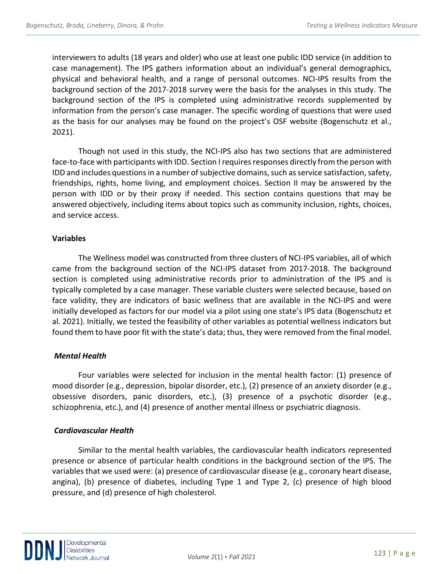interviewers to adults (18 years and older) who use at least one public IDD service (in addition to case management). The IPS gathers information about an individual's general demographics, physical and behavioral health, and a range of personal outcomes. NCI-IPS results from the background section of the 2017-2018 survey were the basis for the analyses in this study. The background section of the IPS is completed using administrative records supplemented by information from the person's case manager. The specific wording of questions that were used as the basis for our analyses may be found on the project's OSF website (Bogenschutz et al., 2021).

Though not used in this study, the NCI-IPS also has two sections that are administered face-to-face with participants with IDD. Section I requires responses directly from the person with IDD and includes questions in a number of subjective domains, such as service satisfaction, safety, friendships, rights, home living, and employment choices. Section II may be answered by the person with IDD or by their proxy if needed. This section contains questions that may be answered objectively, including items about topics such as community inclusion, rights, choices, and service access.

#### **Variables**

The Wellness model was constructed from three clusters of NCI-IPS variables, all of which came from the background section of the NCI-IPS dataset from 2017-2018. The background section is completed using administrative records prior to administration of the IPS and is typically completed by a case manager. These variable clusters were selected because, based on face validity, they are indicators of basic wellness that are available in the NCI-IPS and were initially developed as factors for our model via a pilot using one state's IPS data (Bogenschutz et al. 2021). Initially, we tested the feasibility of other variables as potential wellness indicators but found them to have poor fit with the state's data; thus, they were removed from the final model.

# *Mental Health*

Four variables were selected for inclusion in the mental health factor: (1) presence of mood disorder (e.g., depression, bipolar disorder, etc.), (2) presence of an anxiety disorder (e.g., obsessive disorders, panic disorders, etc.), (3) presence of a psychotic disorder (e.g., schizophrenia, etc.), and (4) presence of another mental illness or psychiatric diagnosis.

# *Cardiovascular Health*

Similar to the mental health variables, the cardiovascular health indicators represented presence or absence of particular health conditions in the background section of the IPS. The variables that we used were: (a) presence of cardiovascular disease (e.g., coronary heart disease, angina), (b) presence of diabetes, including Type 1 and Type 2, (c) presence of high blood pressure, and (d) presence of high cholesterol.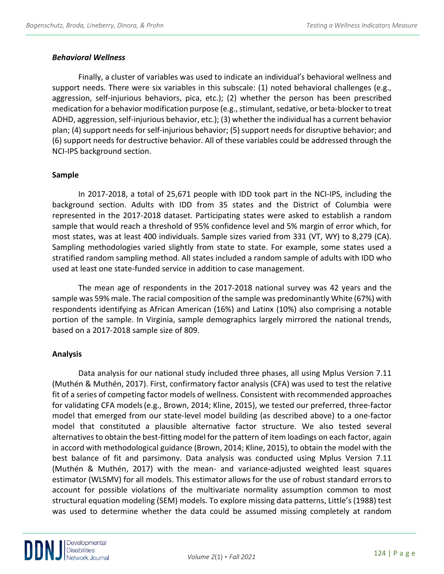### *Behavioral Wellness*

Finally, a cluster of variables was used to indicate an individual's behavioral wellness and support needs. There were six variables in this subscale: (1) noted behavioral challenges (e.g., aggression, self-injurious behaviors, pica, etc.); (2) whether the person has been prescribed medication for a behavior modification purpose (e.g., stimulant, sedative, or beta-blocker to treat ADHD, aggression, self-injurious behavior, etc.); (3) whether the individual has a current behavior plan; (4) support needs for self-injurious behavior; (5) support needs for disruptive behavior; and (6) support needs for destructive behavior. All of these variables could be addressed through the NCI-IPS background section.

#### **Sample**

In 2017-2018, a total of 25,671 people with IDD took part in the NCI-IPS, including the background section. Adults with IDD from 35 states and the District of Columbia were represented in the 2017-2018 dataset. Participating states were asked to establish a random sample that would reach a threshold of 95% confidence level and 5% margin of error which, for most states, was at least 400 individuals. Sample sizes varied from 331 (VT, WY) to 8,279 (CA). Sampling methodologies varied slightly from state to state. For example, some states used a stratified random sampling method. All states included a random sample of adults with IDD who used at least one state-funded service in addition to case management.

The mean age of respondents in the 2017-2018 national survey was 42 years and the sample was 59% male. The racial composition of the sample was predominantly White (67%) with respondents identifying as African American (16%) and Latinx (10%) also comprising a notable portion of the sample. In Virginia, sample demographics largely mirrored the national trends, based on a 2017-2018 sample size of 809.

# **Analysis**

Data analysis for our national study included three phases, all using Mplus Version 7.11 (Muthén & Muthén, 2017). First, confirmatory factor analysis (CFA) was used to test the relative fit of a series of competing factor models of wellness. Consistent with recommended approaches for validating CFA models(e.g., Brown, 2014; Kline, 2015), we tested our preferred, three-factor model that emerged from our state-level model building (as described above) to a one-factor model that constituted a plausible alternative factor structure. We also tested several alternatives to obtain the best-fitting model for the pattern of item loadings on each factor, again in accord with methodological guidance (Brown, 2014; Kline, 2015), to obtain the model with the best balance of fit and parsimony. Data analysis was conducted using Mplus Version 7.11 (Muthén & Muthén, 2017) with the mean- and variance-adjusted weighted least squares estimator (WLSMV) for all models. This estimator allows for the use of robust standard errors to account for possible violations of the multivariate normality assumption common to most structural equation modeling (SEM) models. To explore missing data patterns, Little's (1988) test was used to determine whether the data could be assumed missing completely at random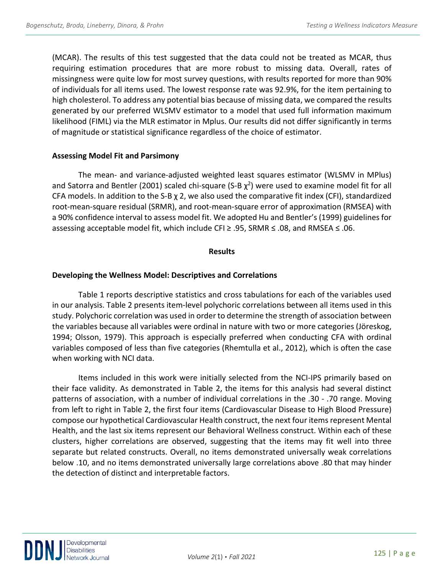(MCAR). The results of this test suggested that the data could not be treated as MCAR, thus requiring estimation procedures that are more robust to missing data. Overall, rates of missingness were quite low for most survey questions, with results reported for more than 90% of individuals for all items used. The lowest response rate was 92.9%, for the item pertaining to high cholesterol. To address any potential bias because of missing data, we compared the results generated by our preferred WLSMV estimator to a model that used full information maximum likelihood (FIML) via the MLR estimator in Mplus. Our results did not differ significantly in terms of magnitude or statistical significance regardless of the choice of estimator.

#### **Assessing Model Fit and Parsimony**

The mean- and variance-adjusted weighted least squares estimator (WLSMV in MPlus) and Satorra and Bentler (2001) scaled chi-square (S-B  $\chi^2$ ) were used to examine model fit for all CFA models. In addition to the S-B  $\chi$  2, we also used the comparative fit index (CFI), standardized root-mean-square residual (SRMR), and root-mean-square error of approximation (RMSEA) with a 90% confidence interval to assess model fit. We adopted Hu and Bentler's (1999) guidelines for assessing acceptable model fit, which include CFI ≥ .95, SRMR  $\leq$  .08, and RMSEA  $\leq$  .06.

#### **Results**

#### **Developing the Wellness Model: Descriptives and Correlations**

Table 1 reports descriptive statistics and cross tabulations for each of the variables used in our analysis. Table 2 presents item-level polychoric correlations between all items used in this study. Polychoric correlation was used in order to determine the strength of association between the variables because all variables were ordinal in nature with two or more categories (Jöreskog, 1994; Olsson, 1979). This approach is especially preferred when conducting CFA with ordinal variables composed of less than five categories (Rhemtulla et al., 2012), which is often the case when working with NCI data.

Items included in this work were initially selected from the NCI-IPS primarily based on their face validity. As demonstrated in Table 2, the items for this analysis had several distinct patterns of association, with a number of individual correlations in the .30 - .70 range. Moving from left to right in Table 2, the first four items (Cardiovascular Disease to High Blood Pressure) compose our hypothetical Cardiovascular Health construct, the next four items represent Mental Health, and the last six items represent our Behavioral Wellness construct. Within each of these clusters, higher correlations are observed, suggesting that the items may fit well into three separate but related constructs. Overall, no items demonstrated universally weak correlations below .10, and no items demonstrated universally large correlations above .80 that may hinder the detection of distinct and interpretable factors.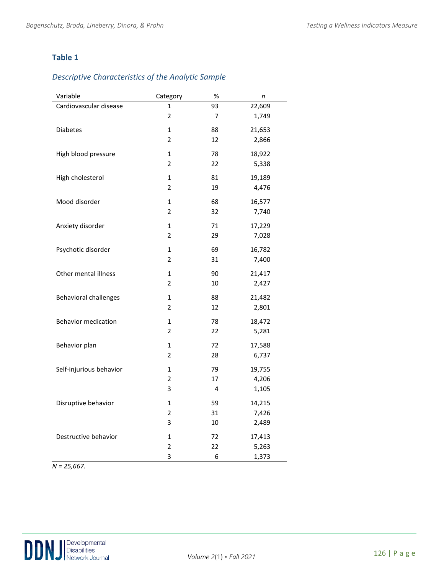# **Table 1**

# *Descriptive Characteristics of the Analytic Sample*

| Variable                     | Category                | $\%$ | n      |
|------------------------------|-------------------------|------|--------|
| Cardiovascular disease       | 1                       | 93   | 22,609 |
|                              | $\overline{2}$          | 7    | 1,749  |
| <b>Diabetes</b>              | $\overline{1}$          | 88   | 21,653 |
|                              | $\overline{2}$          | 12   | 2,866  |
| High blood pressure          | $\mathbf{1}$            | 78   | 18,922 |
|                              | $\overline{2}$          | 22   | 5,338  |
| High cholesterol             | $\mathbf{1}$            | 81   | 19,189 |
|                              | $\overline{2}$          | 19   | 4,476  |
| Mood disorder                | 1                       | 68   | 16,577 |
|                              | $\overline{2}$          | 32   | 7,740  |
| Anxiety disorder             | 1                       | 71   | 17,229 |
|                              | 2                       | 29   | 7,028  |
| Psychotic disorder           | 1                       | 69   | 16,782 |
|                              | 2                       | 31   | 7,400  |
| Other mental illness         | $\mathbf{1}$            | 90   | 21,417 |
|                              | $\overline{2}$          | 10   | 2,427  |
| <b>Behavioral challenges</b> | $\mathbf{1}$            | 88   | 21,482 |
|                              | $\overline{2}$          | 12   | 2,801  |
| <b>Behavior medication</b>   | $\mathbf{1}$            | 78   | 18,472 |
|                              | $\overline{2}$          | 22   | 5,281  |
| Behavior plan                | $\mathbf{1}$            | 72   | 17,588 |
|                              | $\overline{2}$          | 28   | 6,737  |
| Self-injurious behavior      | $\mathbf{1}$            | 79   | 19,755 |
|                              | $\overline{2}$          | 17   | 4,206  |
|                              | 3                       | 4    | 1,105  |
| Disruptive behavior          | $\mathbf{1}$            | 59   | 14,215 |
|                              | 2                       | 31   | 7,426  |
|                              | 3                       | 10   | 2,489  |
| Destructive behavior         | 1                       | 72   | 17,413 |
|                              | $\overline{\mathbf{c}}$ | 22   | 5,263  |
|                              | 3                       | 6    | 1,373  |

*N = 25,667.*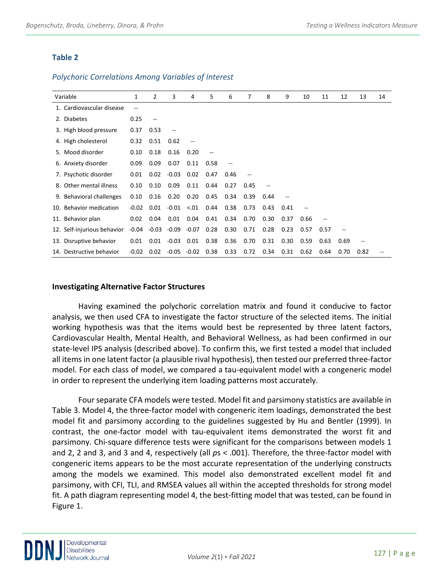# **Table 2**

#### *Polychoric Correlations Among Variables of Interest*

| Variable                    | 1       | 2                        | 3       | 4                        | 5    | 6                        | 7    | 8    | 9    | 10   | 11     | 12                       | 13                       | 14 |
|-----------------------------|---------|--------------------------|---------|--------------------------|------|--------------------------|------|------|------|------|--------|--------------------------|--------------------------|----|
| 1. Cardiovascular disease   | --      |                          |         |                          |      |                          |      |      |      |      |        |                          |                          |    |
| 2. Diabetes                 | 0.25    | $\overline{\phantom{a}}$ |         |                          |      |                          |      |      |      |      |        |                          |                          |    |
| 3. High blood pressure      | 0.37    | 0.53                     | $-$     |                          |      |                          |      |      |      |      |        |                          |                          |    |
| 4. High cholesterol         | 0.32    | 0.51                     | 0.62    | $\overline{\phantom{a}}$ |      |                          |      |      |      |      |        |                          |                          |    |
| 5. Mood disorder            | 0.10    | 0.18                     | 0.16    | 0.20                     |      |                          |      |      |      |      |        |                          |                          |    |
| 6. Anxiety disorder         | 0.09    | 0.09                     | 0.07    | 0.11                     | 0.58 | $\overline{\phantom{a}}$ |      |      |      |      |        |                          |                          |    |
| 7. Psychotic disorder       | 0.01    | 0.02                     | $-0.03$ | 0.02                     | 0.47 | 0.46                     |      |      |      |      |        |                          |                          |    |
| 8. Other mental illness     | 0.10    | 0.10                     | 0.09    | 0.11                     | 0.44 | 0.27                     | 0.45 |      |      |      |        |                          |                          |    |
| 9. Behavioral challenges    | 0.10    | 0.16                     | 0.20    | 0.20                     | 0.45 | 0.34                     | 0.39 | 0.44 |      |      |        |                          |                          |    |
| 10. Behavior medication     | $-0.02$ | 0.01                     | $-0.01$ | $-.01$                   | 0.44 | 0.38                     | 0.73 | 0.43 | 0.41 |      |        |                          |                          |    |
| 11. Behavior plan           | 0.02    | 0.04                     | 0.01    | 0.04                     | 0.41 | 0.34                     | 0.70 | 0.30 | 0.37 | 0.66 | $\sim$ |                          |                          |    |
| 12. Self-injurious behavior | -0.04   | $-0.03$                  | -0.09   | $-0.07$                  | 0.28 | 0.30                     | 0.71 | 0.28 | 0.23 | 0.57 | 0.57   | $\overline{\phantom{m}}$ |                          |    |
| 13. Disruptive behavior     | 0.01    | 0.01                     | $-0.03$ | 0.01                     | 0.38 | 0.36                     | 0.70 | 0.31 | 0.30 | 0.59 | 0.63   | 0.69                     | $\overline{\phantom{m}}$ |    |
| 14. Destructive behavior    | $-0.02$ | 0.02                     | $-0.05$ | $-0.02$                  | 0.38 | 0.33                     | 0.72 | 0.34 | 0.31 | 0.62 | 0.64   | 0.70                     | 0.82                     |    |

#### **Investigating Alternative Factor Structures**

Having examined the polychoric correlation matrix and found it conducive to factor analysis, we then used CFA to investigate the factor structure of the selected items. The initial working hypothesis was that the items would best be represented by three latent factors, Cardiovascular Health, Mental Health, and Behavioral Wellness, as had been confirmed in our state-level IPS analysis (described above). To confirm this, we first tested a model that included all items in one latent factor (a plausible rival hypothesis), then tested our preferred three-factor model. For each class of model, we compared a tau-equivalent model with a congeneric model in order to represent the underlying item loading patterns most accurately.

Four separate CFA models were tested. Model fit and parsimony statistics are available in Table 3. Model 4, the three-factor model with congeneric item loadings, demonstrated the best model fit and parsimony according to the guidelines suggested by Hu and Bentler (1999). In contrast, the one-factor model with tau-equivalent items demonstrated the worst fit and parsimony. Chi-square difference tests were significant for the comparisons between models 1 and 2, 2 and 3, and 3 and 4, respectively (all *p*s < .001). Therefore, the three-factor model with congeneric items appears to be the most accurate representation of the underlying constructs among the models we examined. This model also demonstrated excellent model fit and parsimony, with CFI, TLI, and RMSEA values all within the accepted thresholds for strong model fit. A path diagram representing model 4, the best-fitting model that was tested, can be found in Figure 1.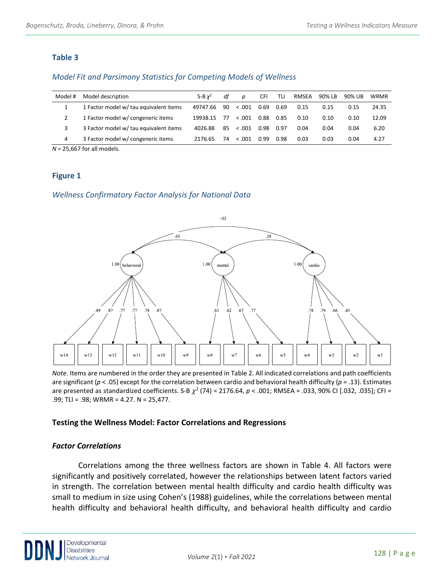# **Table 3**

# *Model Fit and Parsimony Statistics for Competing Models of Wellness*

| Model # | Model description                      | S-B $x^2$ | df | D       | <b>CFI</b> | TLI  | RMSEA | 90% LB | 90% UB | <b>WRMR</b> |
|---------|----------------------------------------|-----------|----|---------|------------|------|-------|--------|--------|-------------|
|         | 1 Factor model w/ tau equivalent items | 49747.66  | 90 | < 0.001 | 0.69       | 0.69 | 0.15  | 0.15   | 0.15   | 24.35       |
|         | 1 Factor model w/ congeneric items     | 19938.15  | 77 | < 0.001 | 0.88       | 0.85 | 0.10  | 0.10   | 0.10   | 12.09       |
| 3       | 3 Factor model w/ tau equivalent items | 4026.88   | 85 | < .001  | 0.98       | 0.97 | 0.04  | 0.04   | 0.04   | 6.20        |
| 4       | 3 Factor model w/ congeneric items     | 2176.65   | 74 | < 0.001 | 0.99       | 0.98 | 0.03  | 0.03   | 0.04   | 4.27        |

*N* = 25,667 for all models.

# **Figure 1**

*Wellness Confirmatory Factor Analysis for National Data*



*Note*. Items are numbered in the order they are presented in Table 2. All indicated correlations and path coefficients are significant (*p* < .05) except for the correlation between cardio and behavioral health difficulty (*p* = .13). Estimates are presented as standardized coefficients. S-B  $\chi^2$  (74) = 2176.64,  $p < .001$ ; RMSEA = .033, 90% CI [.032, .035]; CFI = .99; TLI = .98; WRMR = 4.27. N = 25,477.

# **Testing the Wellness Model: Factor Correlations and Regressions**

# *Factor Correlations*

Correlations among the three wellness factors are shown in Table 4. All factors were significantly and positively correlated, however the relationships between latent factors varied in strength. The correlation between mental health difficulty and cardio health difficulty was small to medium in size using Cohen's (1988) guidelines, while the correlations between mental health difficulty and behavioral health difficulty, and behavioral health difficulty and cardio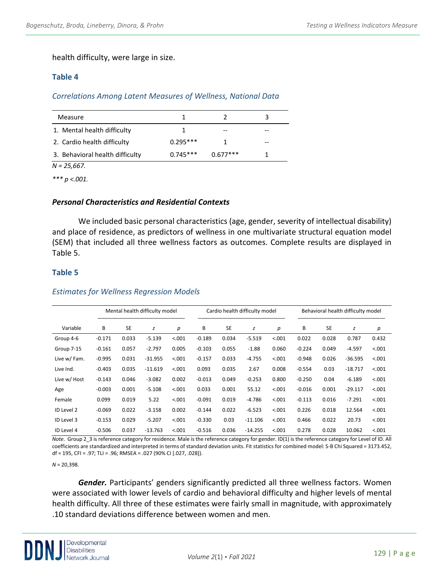health difficulty, were large in size.

### **Table 4**

# *Correlations Among Latent Measures of Wellness, National Data*

| Measure                         |            |            |    |
|---------------------------------|------------|------------|----|
| 1. Mental health difficulty     |            |            |    |
| 2. Cardio health difficulty     | $0.295***$ |            | -- |
| 3. Behavioral health difficulty | $0.745***$ | $0.677***$ |    |

*N = 25,667.* 

*\*\*\* p <.001.*

#### *Personal Characteristics and Residential Contexts*

We included basic personal characteristics (age, gender, severity of intellectual disability) and place of residence, as predictors of wellness in one multivariate structural equation model (SEM) that included all three wellness factors as outcomes. Complete results are displayed in Table 5.

#### **Table 5**

#### Mental health difficulty model ────────────────────────────── Cardio health difficulty model ────────────────────────────── Behavioral health difficulty model ────────────────────────────── Variable B SE *z p* B SE *z p* B SE *z p* Group 4-6 -0.171 0.033 -5.139 <.001 -0.189 0.034 -5.519 <.001 0.022 0.028 0.787 0.432 Group 7-15 -0.161 0.057 -2.797 0.005 -0.103 0.055 -1.88 0.060 -0.224 0.049 -4.597 <.001 Live w/ Fam. -0.995 0.031 -31.955 <.001 -0.157 0.033 -4.755 <.001 -0.948 0.026 -36.595 <.001 Live Ind. -0.403 0.035 -11.619 <.001 0.093 0.035 2.67 0.008 -0.554 0.03 -18.717 <.001 Live w/ Host -0.143 0.046 -3.082 0.002 -0.013 0.049 -0.253 0.800 -0.250 0.04 -6.189 <.001 Age -0.003 0.001 -5.108 <.001 0.033 0.001 55.12 <.001 -0.016 0.001 -29.117 <.001 Female 0.099 0.019 5.22 <.001 -0.091 0.019 -4.786 <.001 -0.113 0.016 -7.291 <.001 ID Level 2 -0.069 0.022 -3.158 0.002 -0.144 0.022 -6.523 <.001 0.226 0.018 12.564 <.001 ID Level 3 -0.153 0.029 -5.207 <.001 -0.330 0.03 -11.106 <.001 0.466 0.022 20.73 <.001 ID Level 4 -0.506 0.037 -13.763 <.001 -0.516 0.036 -14.255 <.001 0.278 0.028 10.062 <.001

#### *Estimates for Wellness Regression Models*

*Note*. Group 2\_3 is reference category for residence. Male is the reference category for gender. ID(1) is the reference category for Level of ID. All coefficients are standardized and interpreted in terms of standard deviation units. Fit statistics for combined model: S-B Chi Squared = 3173.452, df = 195, CFI = .97; TLI = .96; RMSEA = .027 (90% CI [.027, .028]).

*N* = 20,398.

*Gender.* Participants' genders significantly predicted all three wellness factors. Women were associated with lower levels of cardio and behavioral difficulty and higher levels of mental health difficulty. All three of these estimates were fairly small in magnitude, with approximately .10 standard deviations difference between women and men.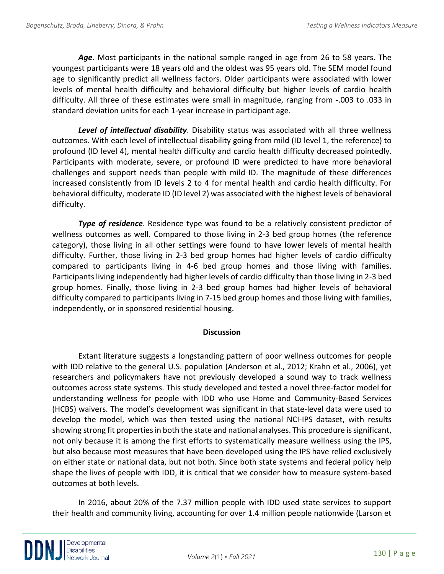*Age*. Most participants in the national sample ranged in age from 26 to 58 years. The youngest participants were 18 years old and the oldest was 95 years old. The SEM model found age to significantly predict all wellness factors. Older participants were associated with lower levels of mental health difficulty and behavioral difficulty but higher levels of cardio health difficulty. All three of these estimates were small in magnitude, ranging from -.003 to .033 in standard deviation units for each 1-year increase in participant age.

*Level of intellectual disability*. Disability status was associated with all three wellness outcomes. With each level of intellectual disability going from mild (ID level 1, the reference) to profound (ID level 4), mental health difficulty and cardio health difficulty decreased pointedly. Participants with moderate, severe, or profound ID were predicted to have more behavioral challenges and support needs than people with mild ID. The magnitude of these differences increased consistently from ID levels 2 to 4 for mental health and cardio health difficulty. For behavioral difficulty, moderate ID (ID level 2) was associated with the highest levels of behavioral difficulty.

*Type of residence*. Residence type was found to be a relatively consistent predictor of wellness outcomes as well. Compared to those living in 2-3 bed group homes (the reference category), those living in all other settings were found to have lower levels of mental health difficulty. Further, those living in 2-3 bed group homes had higher levels of cardio difficulty compared to participants living in 4-6 bed group homes and those living with families. Participants living independently had higher levels of cardio difficulty than those living in 2-3 bed group homes. Finally, those living in 2-3 bed group homes had higher levels of behavioral difficulty compared to participants living in 7-15 bed group homes and those living with families, independently, or in sponsored residential housing.

#### **Discussion**

Extant literature suggests a longstanding pattern of poor wellness outcomes for people with IDD relative to the general U.S. population (Anderson et al., 2012; Krahn et al., 2006), yet researchers and policymakers have not previously developed a sound way to track wellness outcomes across state systems. This study developed and tested a novel three-factor model for understanding wellness for people with IDD who use Home and Community-Based Services (HCBS) waivers. The model's development was significant in that state-level data were used to develop the model, which was then tested using the national NCI-IPS dataset, with results showing strong fit properties in both the state and national analyses. This procedure is significant, not only because it is among the first efforts to systematically measure wellness using the IPS, but also because most measures that have been developed using the IPS have relied exclusively on either state or national data, but not both. Since both state systems and federal policy help shape the lives of people with IDD, it is critical that we consider how to measure system-based outcomes at both levels.

In 2016, about 20% of the 7.37 million people with IDD used state services to support their health and community living, accounting for over 1.4 million people nationwide (Larson et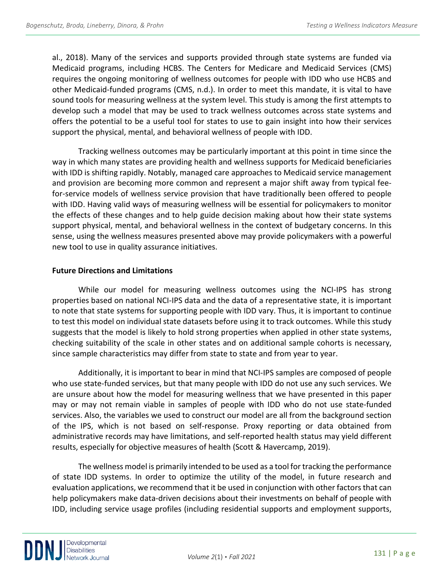al., 2018). Many of the services and supports provided through state systems are funded via Medicaid programs, including HCBS. The Centers for Medicare and Medicaid Services (CMS) requires the ongoing monitoring of wellness outcomes for people with IDD who use HCBS and other Medicaid-funded programs (CMS, n.d.). In order to meet this mandate, it is vital to have sound tools for measuring wellness at the system level. This study is among the first attempts to develop such a model that may be used to track wellness outcomes across state systems and offers the potential to be a useful tool for states to use to gain insight into how their services support the physical, mental, and behavioral wellness of people with IDD.

Tracking wellness outcomes may be particularly important at this point in time since the way in which many states are providing health and wellness supports for Medicaid beneficiaries with IDD is shifting rapidly. Notably, managed care approaches to Medicaid service management and provision are becoming more common and represent a major shift away from typical feefor-service models of wellness service provision that have traditionally been offered to people with IDD. Having valid ways of measuring wellness will be essential for policymakers to monitor the effects of these changes and to help guide decision making about how their state systems support physical, mental, and behavioral wellness in the context of budgetary concerns. In this sense, using the wellness measures presented above may provide policymakers with a powerful new tool to use in quality assurance initiatives.

# **Future Directions and Limitations**

While our model for measuring wellness outcomes using the NCI-IPS has strong properties based on national NCI-IPS data and the data of a representative state, it is important to note that state systems for supporting people with IDD vary. Thus, it is important to continue to test this model on individual state datasets before using it to track outcomes. While this study suggests that the model is likely to hold strong properties when applied in other state systems, checking suitability of the scale in other states and on additional sample cohorts is necessary, since sample characteristics may differ from state to state and from year to year.

Additionally, it is important to bear in mind that NCI-IPS samples are composed of people who use state-funded services, but that many people with IDD do not use any such services. We are unsure about how the model for measuring wellness that we have presented in this paper may or may not remain viable in samples of people with IDD who do not use state-funded services. Also, the variables we used to construct our model are all from the background section of the IPS, which is not based on self-response. Proxy reporting or data obtained from administrative records may have limitations, and self-reported health status may yield different results, especially for objective measures of health (Scott & Havercamp, 2019).

The wellness model is primarily intended to be used as a tool for tracking the performance of state IDD systems. In order to optimize the utility of the model, in future research and evaluation applications, we recommend that it be used in conjunction with other factors that can help policymakers make data-driven decisions about their investments on behalf of people with IDD, including service usage profiles (including residential supports and employment supports,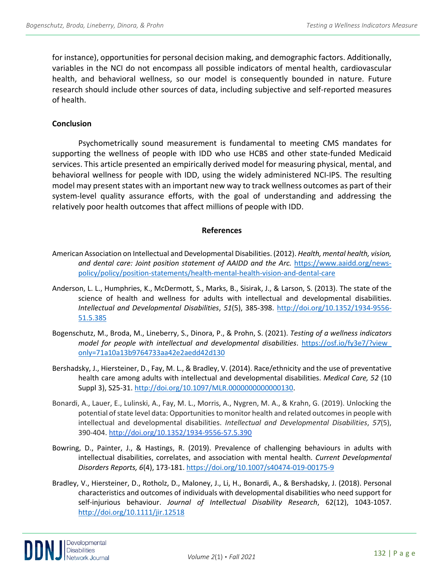for instance), opportunities for personal decision making, and demographic factors. Additionally, variables in the NCI do not encompass all possible indicators of mental health, cardiovascular health, and behavioral wellness, so our model is consequently bounded in nature. Future research should include other sources of data, including subjective and self-reported measures of health.

### **Conclusion**

Psychometrically sound measurement is fundamental to meeting CMS mandates for supporting the wellness of people with IDD who use HCBS and other state-funded Medicaid services. This article presented an empirically derived model for measuring physical, mental, and behavioral wellness for people with IDD, using the widely administered NCI-IPS. The resulting model may present states with an important new way to track wellness outcomes as part of their system-level quality assurance efforts, with the goal of understanding and addressing the relatively poor health outcomes that affect millions of people with IDD.

#### **References**

- American Association on Intellectual and Developmental Disabilities. (2012). *Health, mental health, vision,*  and dental care: Joint position statement of AAIDD and the Arc. [https://www.aaidd.org/news](https://www.aaidd.org/news-policy/policy/position-statements/health-mental-health-vision-and-dental-care)[policy/policy/position-statements/health-mental-health-vision-and-dental-care](https://www.aaidd.org/news-policy/policy/position-statements/health-mental-health-vision-and-dental-care)
- Anderson, L. L., Humphries, K., McDermott, S., Marks, B., Sisirak, J., & Larson, S. (2013). The state of the science of health and wellness for adults with intellectual and developmental disabilities. *Intellectual and Developmental Disabilities*, *51*(5), 385-398. [http://doi.org/10.1352/1934-9556-](http://doi.org/10.1352/1934-9556-51.5.385) [51.5.385](http://doi.org/10.1352/1934-9556-51.5.385)
- Bogenschutz, M., Broda, M., Lineberry, S., Dinora, P., & Prohn, S. (2021). *Testing of a wellness indicators model for people with intellectual and developmental disabilities*. [https://osf.io/fy3e7/?view\\_](https://osf.io/fy3e7/?view_%20only=71a10a13b9764733aa42e2aedd42d130)  [only=71a10a13b9764733aa42e2aedd42d130](https://osf.io/fy3e7/?view_%20only=71a10a13b9764733aa42e2aedd42d130)
- Bershadsky, J., Hiersteiner, D., Fay, M. L., & Bradley, V. (2014). Race/ethnicity and the use of preventative health care among adults with intellectual and developmental disabilities. *Medical Care, 52* (10 Suppl 3), S25-31[. http://doi.org/10.1097/MLR.0000000000000130.](http://doi.org/10.1097/MLR.0000000000000130)
- Bonardi, A., Lauer, E., Lulinski, A., Fay, M. L., Morris, A., Nygren, M. A., & Krahn, G. (2019). Unlocking the potential of state level data: Opportunities to monitor health and related outcomes in people with intellectual and developmental disabilities. *Intellectual and Developmental Disabilities*, *57*(5), 390-404.<http://doi.org/10.1352/1934-9556-57.5.390>
- Bowring, D., Painter, J., & Hastings, R. (2019). Prevalence of challenging behaviours in adults with intellectual disabilities, correlates, and association with mental health. *Current Developmental Disorders Reports, 6*(4), 173-181.<https://doi.org/10.1007/s40474-019-00175-9>
- Bradley, V., Hiersteiner, D., Rotholz, D., Maloney, J., Li, H., Bonardi, A., & Bershadsky, J. (2018). Personal characteristics and outcomes of individuals with developmental disabilities who need support for self-injurious behaviour. *Journal of Intellectual Disability Research*, 62(12), 1043-1057. <http://doi.org/10.1111/jir.12518>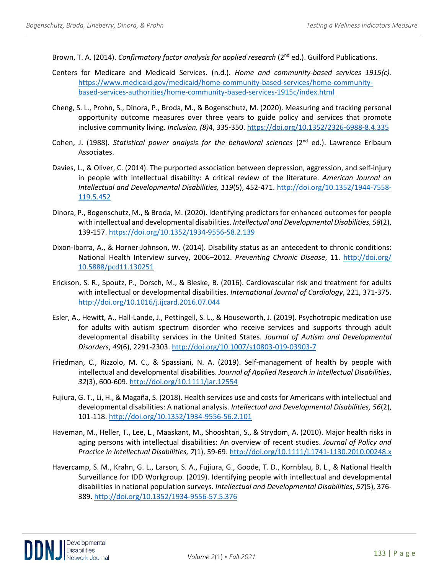Brown, T. A. (2014). *Confirmatory factor analysis for applied research* (2<sup>nd</sup> ed.). Guilford Publications.

- Centers for Medicare and Medicaid Services. (n.d.). *Home and community-based services 1915(c).* [https://www.medicaid.gov/medicaid/home-community-based-services/home-community](https://www.medicaid.gov/medicaid/home-community-based-services/home-community-based-services-authorities/home-community-based-services-1915c/index.html)[based-services-authorities/home-community-based-services-1915c/index.html](https://www.medicaid.gov/medicaid/home-community-based-services/home-community-based-services-authorities/home-community-based-services-1915c/index.html)
- Cheng, S. L., Prohn, S., Dinora, P., Broda, M., & Bogenschutz, M. (2020). Measuring and tracking personal opportunity outcome measures over three years to guide policy and services that promote inclusive community living. *Inclusion, (8)*4, 335-350[. https://doi.org/10.1352/2326-6988-8.4.335](https://doi.org/10.1352/2326-6988-8.4.335)
- Cohen, J. (1988). *Statistical power analysis for the behavioral sciences* (2<sup>nd</sup> ed.). Lawrence Erlbaum Associates.
- Davies, L., & Oliver, C. (2014). The purported association between depression, aggression, and self-injury in people with intellectual disability: A critical review of the literature. *American Journal on Intellectual and Developmental Disabilities, 119*(5), 452-471. [http://doi.org/10.1352/1944-7558-](http://doi.org/10.1352/1944-7558-119.5.452) [119.5.452](http://doi.org/10.1352/1944-7558-119.5.452)
- Dinora, P., Bogenschutz, M., & Broda, M. (2020). Identifying predictors for enhanced outcomes for people with intellectual and developmental disabilities. *Intellectual and Developmental Disabilities, 58*(2), 139-157.<https://doi.org/10.1352/1934-9556-58.2.139>
- Dixon-Ibarra, A., & Horner-Johnson, W. (2014). Disability status as an antecedent to chronic conditions: National Health Interview survey, 2006–2012. *Preventing Chronic Disease*, 11. [http://doi.org/](http://doi.org/%2010.5888/pcd11.130251)  [10.5888/pcd11.130251](http://doi.org/%2010.5888/pcd11.130251)
- Erickson, S. R., Spoutz, P., Dorsch, M., & Bleske, B. (2016). Cardiovascular risk and treatment for adults with intellectual or developmental disabilities. *International Journal of Cardiology*, 221, 371-375. <http://doi.org/10.1016/j.ijcard.2016.07.044>
- Esler, A., Hewitt, A., Hall-Lande, J., Pettingell, S. L., & Houseworth, J. (2019). Psychotropic medication use for adults with autism spectrum disorder who receive services and supports through adult developmental disability services in the United States. *Journal of Autism and Developmental Disorders*, *49*(6), 2291-2303.<http://doi.org/10.1007/s10803-019-03903-7>
- Friedman, C., Rizzolo, M. C., & Spassiani, N. A. (2019). Self-management of health by people with intellectual and developmental disabilities. *Journal of Applied Research in Intellectual Disabilities*, *32*(3), 600-609[. http://doi.org/10.1111/jar.12554](http://doi.org/10.1111/jar.12554)
- Fujiura, G. T., Li, H., & Magaña, S. (2018). Health services use and costs for Americans with intellectual and developmental disabilities: A national analysis. *Intellectual and Developmental Disabilities, 56*(2), 101-118.<http://doi.org/10.1352/1934-9556-56.2.101>
- Haveman, M., Heller, T., Lee, L., Maaskant, M., Shooshtari, S., & Strydom, A. (2010). Major health risks in aging persons with intellectual disabilities: An overview of recent studies. *Journal of Policy and Practice in Intellectual Disabilities, 7*(1), 59-69[. http://doi.org/10.1111/j.1741-1130.2010.00248.x](http://doi.org/10.1111/j.1741-1130.2010.00248.x)
- Havercamp, S. M., Krahn, G. L., Larson, S. A., Fujiura, G., Goode, T. D., Kornblau, B. L., & National Health Surveillance for IDD Workgroup. (2019). Identifying people with intellectual and developmental disabilities in national population surveys. *Intellectual and Developmental Disabilities*, *57*(5), 376- 389.<http://doi.org/10.1352/1934-9556-57.5.376>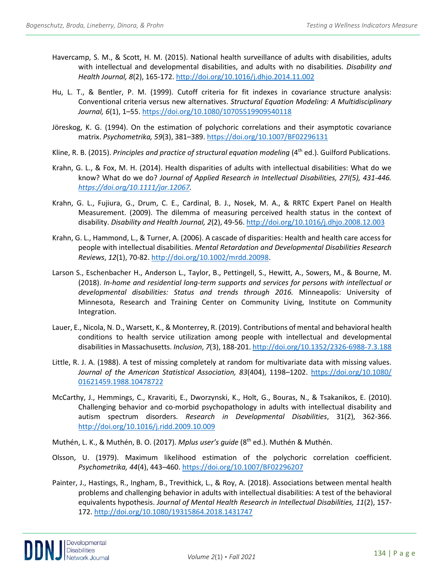- Havercamp, S. M., & Scott, H. M. (2015). National health surveillance of adults with disabilities, adults with intellectual and developmental disabilities, and adults with no disabilities. *Disability and Health Journal, 8*(2), 165-172.<http://doi.org/10.1016/j.dhjo.2014.11.002>
- Hu, L. T., & Bentler, P. M. (1999). Cutoff criteria for fit indexes in covariance structure analysis: Conventional criteria versus new alternatives. *Structural Equation Modeling: A Multidisciplinary Journal, 6*(1), 1–55.<https://doi.org/10.1080/10705519909540118>
- Jöreskog, K. G. (1994). On the estimation of polychoric correlations and their asymptotic covariance matrix. *Psychometrika, 59*(3), 381–389[. https://doi.org/10.1007/BF02296131](https://doi.org/10.1007/BF02296131)
- Kline, R. B. (2015). *Principles and practice of structural equation modeling* (4th ed.). Guilford Publications.
- Krahn, G. L., & Fox, M. H. (2014). Health disparities of adults with intellectual disabilities: What do we know? What do we do? *Journal of Applied Research in Intellectual Disabilities, 27I(5), 431-446. [https://doi.org/10.1111/jar.12067.](https://doi.org/10.1111/jar.12067)*
- Krahn, G. L., Fujiura, G., Drum, C. E., Cardinal, B. J., Nosek, M. A., & RRTC Expert Panel on Health Measurement. (2009). The dilemma of measuring perceived health status in the context of disability. *Disability and Health Journal, 2*(2), 49-56.<http://doi.org/10.1016/j.dhjo.2008.12.003>
- Krahn, G. L., Hammond, L., & Turner, A. (2006). A cascade of disparities: Health and health care access for people with intellectual disabilities. *Mental Retardation and Developmental Disabilities Research Reviews*, *12*(1), 70-82. [http://doi.org/10.1002/mrdd.20098.](http://doi.org/10.1002/mrdd.20098)
- Larson S., Eschenbacher H., Anderson L., Taylor, B., Pettingell, S., Hewitt, A., Sowers, M., & Bourne, M. (2018). *In-home and residential long-term supports and services for persons with intellectual or developmental disabilities: Status and trends through 2016.* Minneapolis: University of Minnesota, Research and Training Center on Community Living, Institute on Community Integration.
- Lauer, E., Nicola, N. D., Warsett, K., & Monterrey, R. (2019). Contributions of mental and behavioral health conditions to health service utilization among people with intellectual and developmental disabilities in Massachusetts. *Inclusion*, *7*(3), 188-201[. http://doi.org/10.1352/2326-6988-7.3.188](http://doi.org/10.1352/2326-6988-7.3.188)
- Little, R. J. A. (1988). A test of missing completely at random for multivariate data with missing values. *Journal of the American Statistical Association, 83*(404), 1198–1202. [https://doi.org/10.1080/](https://doi.org/10.1080/%2001621459.1988.10478722)  [01621459.1988.10478722](https://doi.org/10.1080/%2001621459.1988.10478722)
- McCarthy, J., Hemmings, C., Kravariti, E., Dworzynski, K., Holt, G., Bouras, N., & Tsakanikos, E. (2010). Challenging behavior and co-morbid psychopathology in adults with intellectual disability and autism spectrum disorders. *Research in Developmental Disabilities*, 31(2), 362-366. <http://doi.org/10.1016/j.ridd.2009.10.009>

Muthén, L. K., & Muthén, B. O. (2017). *Mplus user's guide* (8th ed.). Muthén & Muthén.

- Olsson, U. (1979). Maximum likelihood estimation of the polychoric correlation coefficient. *Psychometrika, 44*(4), 443–460[. https://doi.org/10.1007/BF02296207](https://doi.org/10.1007/BF02296207)
- Painter, J., Hastings, R., Ingham, B., Trevithick, L., & Roy, A. (2018). Associations between mental health problems and challenging behavior in adults with intellectual disabilities: A test of the behavioral equivalents hypothesis. *Journal of Mental Health Research in Intellectual Disabilities, 11*(2), 157- 172.<http://doi.org/10.1080/19315864.2018.1431747>